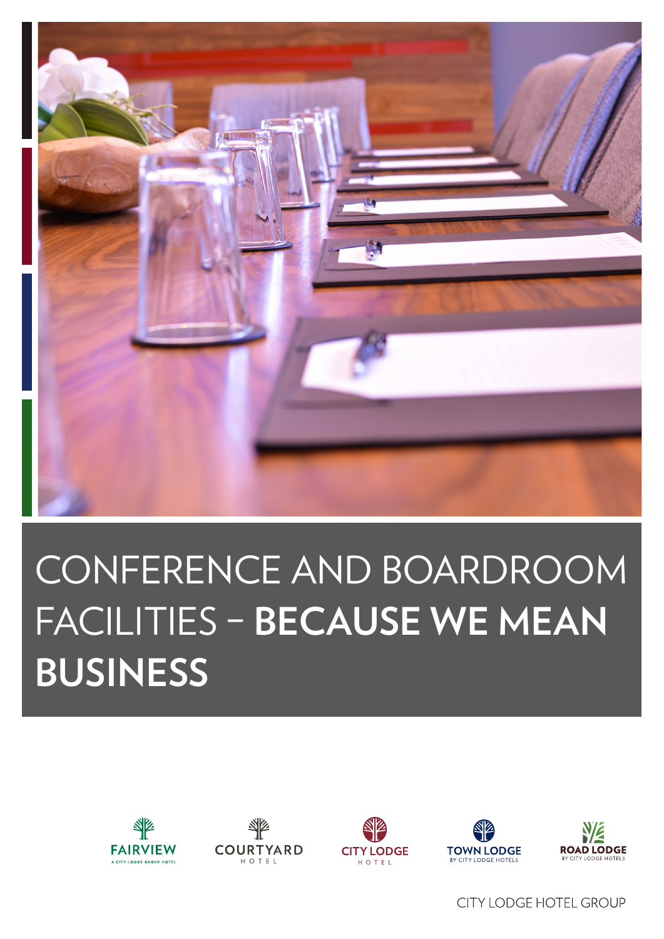

## CONFERENCE AND BOARDROOM **FACILITIES - BECAUSE WE MEAN BUSINESS**











**CITY LODGE HOTEL GROUP**